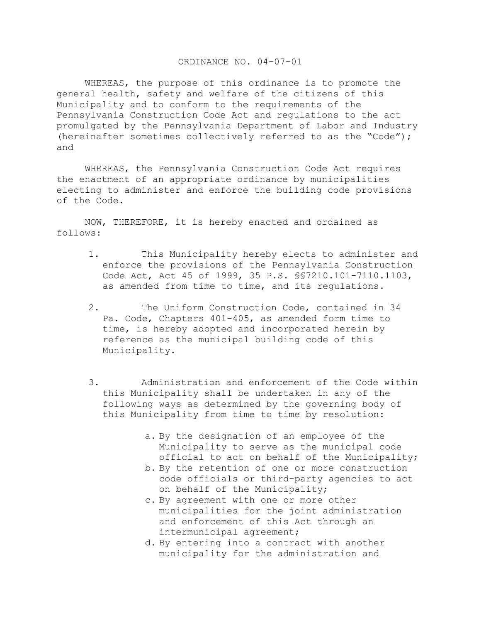## ORDINANCE NO. 04-07-01

 WHEREAS, the purpose of this ordinance is to promote the general health, safety and welfare of the citizens of this Municipality and to conform to the requirements of the Pennsylvania Construction Code Act and regulations to the act promulgated by the Pennsylvania Department of Labor and Industry (hereinafter sometimes collectively referred to as the "Code"); and

 WHEREAS, the Pennsylvania Construction Code Act requires the enactment of an appropriate ordinance by municipalities electing to administer and enforce the building code provisions of the Code.

 NOW, THEREFORE, it is hereby enacted and ordained as follows:

- 1. This Municipality hereby elects to administer and enforce the provisions of the Pennsylvania Construction Code Act, Act 45 of 1999, 35 P.S. §§7210.101-7110.1103, as amended from time to time, and its regulations.
- 2. The Uniform Construction Code, contained in 34 Pa. Code, Chapters 401-405, as amended form time to time, is hereby adopted and incorporated herein by reference as the municipal building code of this Municipality.
- 3. Administration and enforcement of the Code within this Municipality shall be undertaken in any of the following ways as determined by the governing body of this Municipality from time to time by resolution:
	- a. By the designation of an employee of the Municipality to serve as the municipal code official to act on behalf of the Municipality;
	- b. By the retention of one or more construction code officials or third-party agencies to act on behalf of the Municipality;
	- c. By agreement with one or more other municipalities for the joint administration and enforcement of this Act through an intermunicipal agreement;
	- d. By entering into a contract with another municipality for the administration and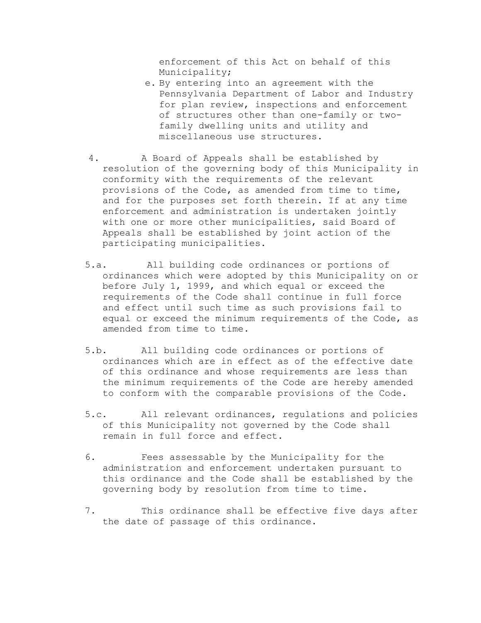enforcement of this Act on behalf of this Municipality;

- e. By entering into an agreement with the Pennsylvania Department of Labor and Industry for plan review, inspections and enforcement of structures other than one-family or twofamily dwelling units and utility and miscellaneous use structures.
- 4. A Board of Appeals shall be established by resolution of the governing body of this Municipality in conformity with the requirements of the relevant provisions of the Code, as amended from time to time, and for the purposes set forth therein. If at any time enforcement and administration is undertaken jointly with one or more other municipalities, said Board of Appeals shall be established by joint action of the participating municipalities.
- 5.a. All building code ordinances or portions of ordinances which were adopted by this Municipality on or before July 1, 1999, and which equal or exceed the requirements of the Code shall continue in full force and effect until such time as such provisions fail to equal or exceed the minimum requirements of the Code, as amended from time to time.
- 5.b. All building code ordinances or portions of ordinances which are in effect as of the effective date of this ordinance and whose requirements are less than the minimum requirements of the Code are hereby amended to conform with the comparable provisions of the Code.
- 5.c. All relevant ordinances, regulations and policies of this Municipality not governed by the Code shall remain in full force and effect.
- 6. Fees assessable by the Municipality for the administration and enforcement undertaken pursuant to this ordinance and the Code shall be established by the governing body by resolution from time to time.
- 7. This ordinance shall be effective five days after the date of passage of this ordinance.